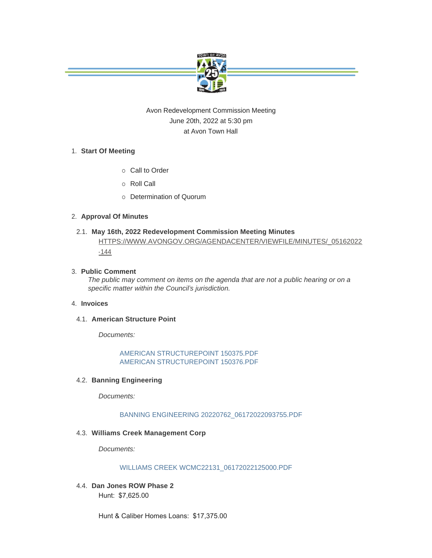

# Avon Redevelopment Commission Meeting June 20th, 2022 at 5:30 pm at Avon Town Hall

# **Start Of Meeting** 1.

- o Call to Order
- ¡ Roll Call
- o Determination of Quorum

### **Approval Of Minutes** 2.

# **May 16th, 2022 Redevelopment Commission Meeting Minutes** 2.1. [HTTPS://WWW.AVONGOV.ORG/AGENDACENTER/VIEWFILE/MINUTES/\\_05162022](https://www.avongov.org/AgendaCenter/ViewFile/Minutes/_05162022-144)

-144

## **Public Comment** 3.

*The public may comment on items on the agenda that are not a public hearing or on a specific matter within the Council's jurisdiction.*

#### **Invoices** 4.

#### **4.1. American Structure Point**

*Documents:*

[AMERICAN STRUCTUREPOINT 150375.PDF](https://www.avongov.org/AgendaCenter/ViewFile/Item/698?fileID=471) [AMERICAN STRUCTUREPOINT 150376.PDF](https://www.avongov.org/AgendaCenter/ViewFile/Item/698?fileID=472)

# **Banning Engineering**  4.2.

*Documents:*

# [BANNING ENGINEERING 20220762\\_06172022093755.PDF](https://www.avongov.org/AgendaCenter/ViewFile/Item/699?fileID=473)

#### **Williams Creek Management Corp** 4.3.

*Documents:*

#### [WILLIAMS CREEK WCMC22131\\_06172022125000.PDF](https://www.avongov.org/AgendaCenter/ViewFile/Item/701?fileID=476)

**Dan Jones ROW Phase 2** 4.4. Hunt: \$7,625.00

Hunt & Caliber Homes Loans: \$17,375.00